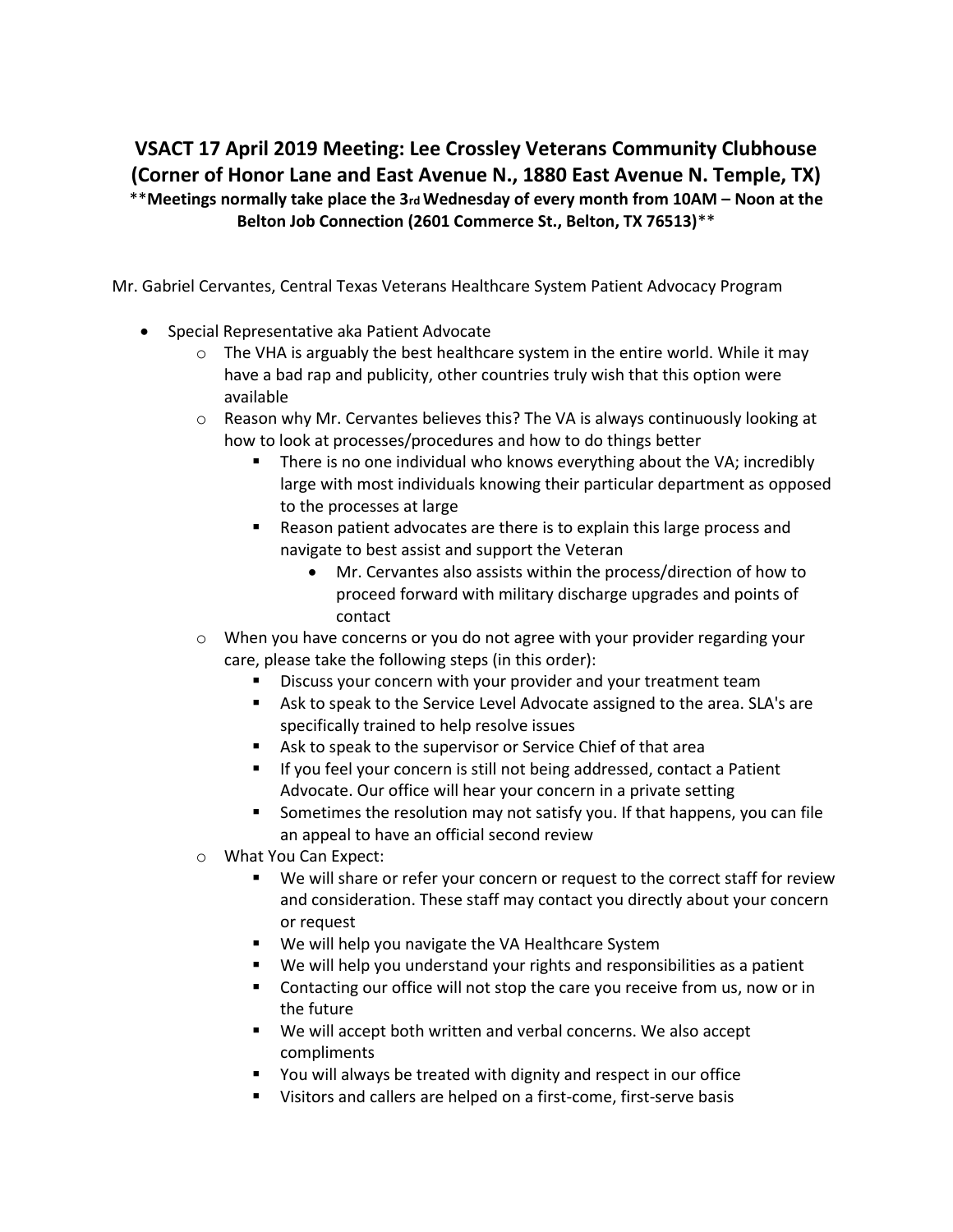## **VSACT 17 April 2019 Meeting: Lee Crossley Veterans Community Clubhouse (Corner of Honor Lane and East Avenue N., 1880 East Avenue N. Temple, TX)** \*\***Meetings normally take place the 3rd Wednesday of every month from 10AM – Noon at the Belton Job Connection (2601 Commerce St., Belton, TX 76513)**\*\*

Mr. Gabriel Cervantes, Central Texas Veterans Healthcare System Patient Advocacy Program

- Special Representative aka Patient Advocate
	- $\circ$  The VHA is arguably the best healthcare system in the entire world. While it may have a bad rap and publicity, other countries truly wish that this option were available
	- o Reason why Mr. Cervantes believes this? The VA is always continuously looking at how to look at processes/procedures and how to do things better
		- There is no one individual who knows everything about the VA; incredibly large with most individuals knowing their particular department as opposed to the processes at large
		- Reason patient advocates are there is to explain this large process and navigate to best assist and support the Veteran
			- Mr. Cervantes also assists within the process/direction of how to proceed forward with military discharge upgrades and points of contact
	- o When you have concerns or you do not agree with your provider regarding your care, please take the following steps (in this order):
		- Discuss your concern with your provider and your treatment team
		- Ask to speak to the Service Level Advocate assigned to the area. SLA's are specifically trained to help resolve issues
		- Ask to speak to the supervisor or Service Chief of that area
		- **EXT** If you feel your concern is still not being addressed, contact a Patient Advocate. Our office will hear your concern in a private setting
		- Sometimes the resolution may not satisfy you. If that happens, you can file an appeal to have an official second review
	- o What You Can Expect:
		- We will share or refer your concern or request to the correct staff for review and consideration. These staff may contact you directly about your concern or request
		- We will help you navigate the VA Healthcare System
		- We will help you understand your rights and responsibilities as a patient
		- Contacting our office will not stop the care you receive from us, now or in the future
		- We will accept both written and verbal concerns. We also accept compliments
		- You will always be treated with dignity and respect in our office
		- Visitors and callers are helped on a first-come, first-serve basis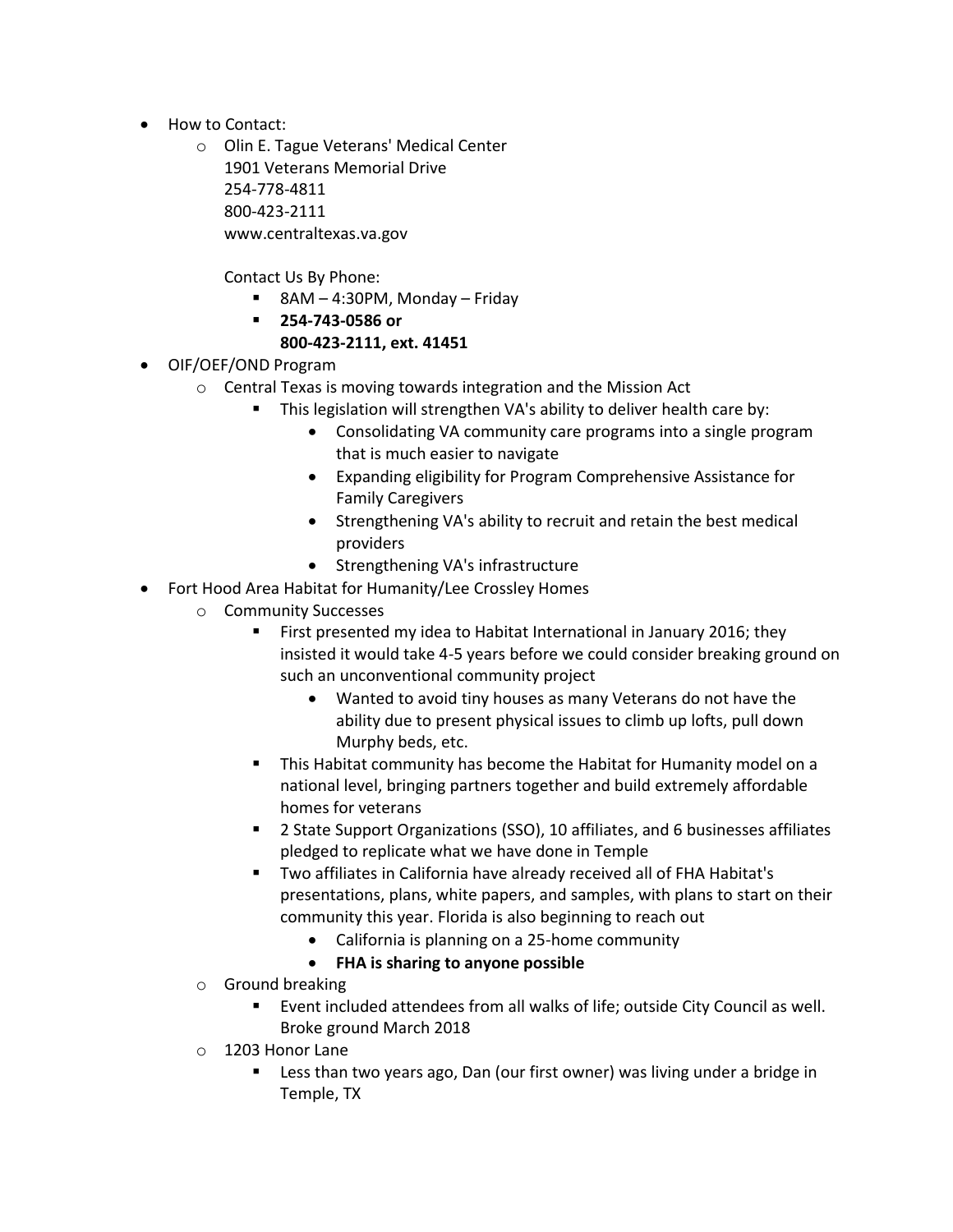- How to Contact:
	- o Olin E. Tague Veterans' Medical Center 1901 Veterans Memorial Drive 254-778-4811 800-423-2111 www.centraltexas.va.gov

Contact Us By Phone:

- 8AM  $-$  4:30PM, Monday  $-$  Friday
- **254-743-0586 or**

## **800-423-2111, ext. 41451**

- OIF/OEF/OND Program
	- o Central Texas is moving towards integration and the Mission Act
		- This legislation will strengthen VA's ability to deliver health care by:
			- Consolidating VA community care programs into a single program that is much easier to navigate
			- Expanding eligibility for Program Comprehensive Assistance for Family Caregivers
			- Strengthening VA's ability to recruit and retain the best medical providers
			- Strengthening VA's infrastructure
- Fort Hood Area Habitat for Humanity/Lee Crossley Homes
	- o Community Successes
		- First presented my idea to Habitat International in January 2016; they insisted it would take 4-5 years before we could consider breaking ground on such an unconventional community project
			- Wanted to avoid tiny houses as many Veterans do not have the ability due to present physical issues to climb up lofts, pull down Murphy beds, etc.
		- **•** This Habitat community has become the Habitat for Humanity model on a national level, bringing partners together and build extremely affordable homes for veterans
		- 2 State Support Organizations (SSO), 10 affiliates, and 6 businesses affiliates pledged to replicate what we have done in Temple
		- Two affiliates in California have already received all of FHA Habitat's presentations, plans, white papers, and samples, with plans to start on their community this year. Florida is also beginning to reach out
			- California is planning on a 25-home community
			- **FHA is sharing to anyone possible**
	- o Ground breaking
		- Event included attendees from all walks of life; outside City Council as well. Broke ground March 2018
	- o 1203 Honor Lane
		- Less than two years ago, Dan (our first owner) was living under a bridge in Temple, TX